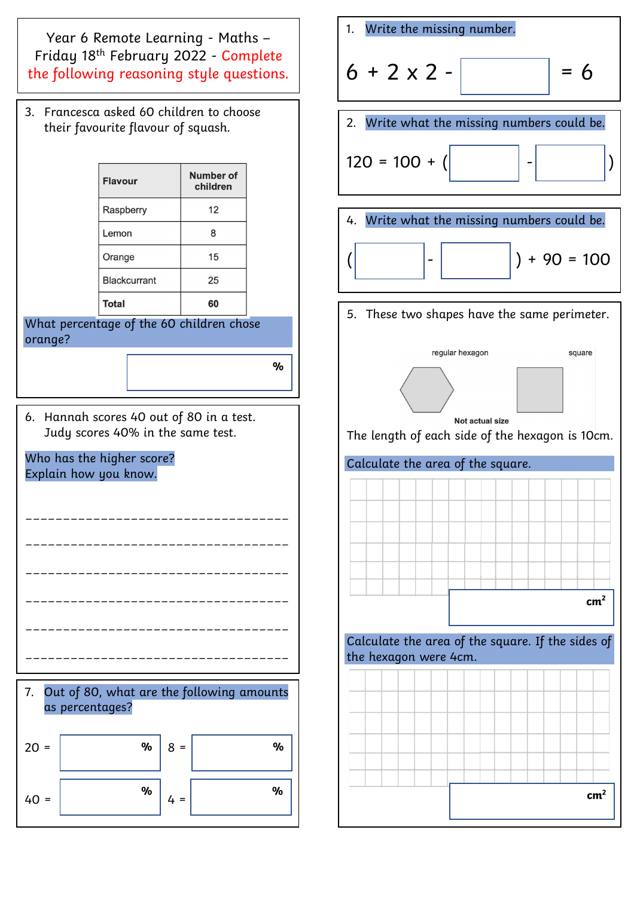Year 6 Remote Learning - Maths – Friday 18th February 2022 - Complete the following reasoning style questions.

3. Francesca asked 60 children to choose their favourite flavour of squash.

| <b>Flavour</b>      | <b>Number of</b><br>children |
|---------------------|------------------------------|
| Raspberry           | 12                           |
| Lemon               | 8                            |
| Orange              | 15                           |
| <b>Blackcurrant</b> | 25                           |
| <b>Total</b>        |                              |

What percentage of the 60 children chose orange?

**%**

6. Hannah scores 40 out of 80 in a test. Judy scores 40% in the same test.

Who has the higher score? Explain how you know.



7. Out of 80, what are the following amounts as percentages?